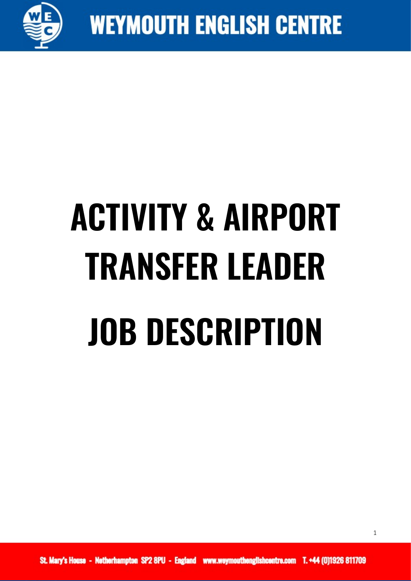

## **ACTIVITY & AIRPORT TRANSFER LEADER JOB DESCRIPTION**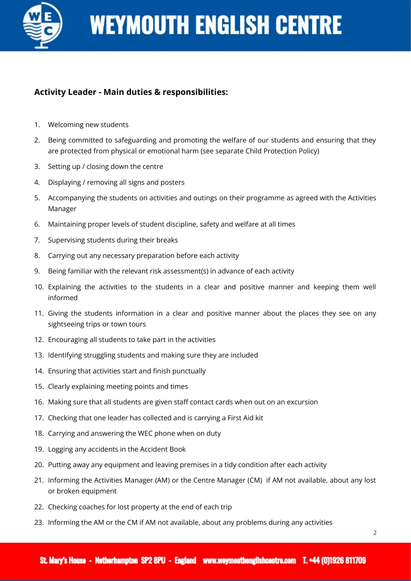

## **Activity Leader - Main duties & responsibilities:**

- 1. Welcoming new students
- 2. Being committed to safeguarding and promoting the welfare of our students and ensuring that they are protected from physical or emotional harm (see separate Child Protection Policy)
- 3. Setting up / closing down the centre
- 4. Displaying / removing all signs and posters
- 5. Accompanying the students on activities and outings on their programme as agreed with the Activities Manager
- 6. Maintaining proper levels of student discipline, safety and welfare at all times
- 7. Supervising students during their breaks
- 8. Carrying out any necessary preparation before each activity
- 9. Being familiar with the relevant risk assessment(s) in advance of each activity
- 10. Explaining the activities to the students in a clear and positive manner and keeping them well informed
- 11. Giving the students information in a clear and positive manner about the places they see on any sightseeing trips or town tours
- 12. Encouraging all students to take part in the activities
- 13. Identifying struggling students and making sure they are included
- 14. Ensuring that activities start and finish punctually
- 15. Clearly explaining meeting points and times
- 16. Making sure that all students are given staff contact cards when out on an excursion
- 17. Checking that one leader has collected and is carrying a First Aid kit
- 18. Carrying and answering the WEC phone when on duty
- 19. Logging any accidents in the Accident Book
- 20. Putting away any equipment and leaving premises in a tidy condition after each activity
- 21. Informing the Activities Manager (AM) or the Centre Manager (CM) if AM not available, about any lost or broken equipment
- 22. Checking coaches for lost property at the end of each trip
- 23. Informing the AM or the CM if AM not available, about any problems during any activities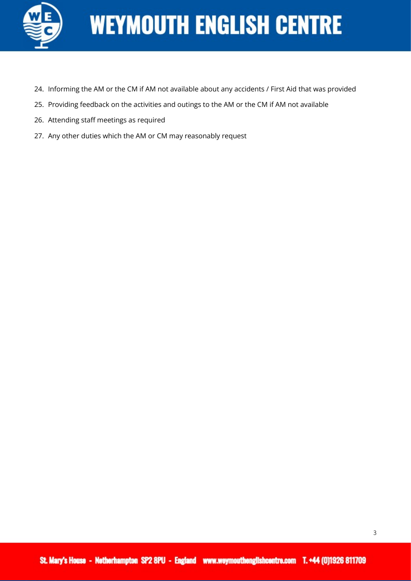

- 24. Informing the AM or the CM if AM not available about any accidents / First Aid that was provided
- 25. Providing feedback on the activities and outings to the AM or the CM if AM not available
- 26. Attending staff meetings as required
- 27. Any other duties which the AM or CM may reasonably request